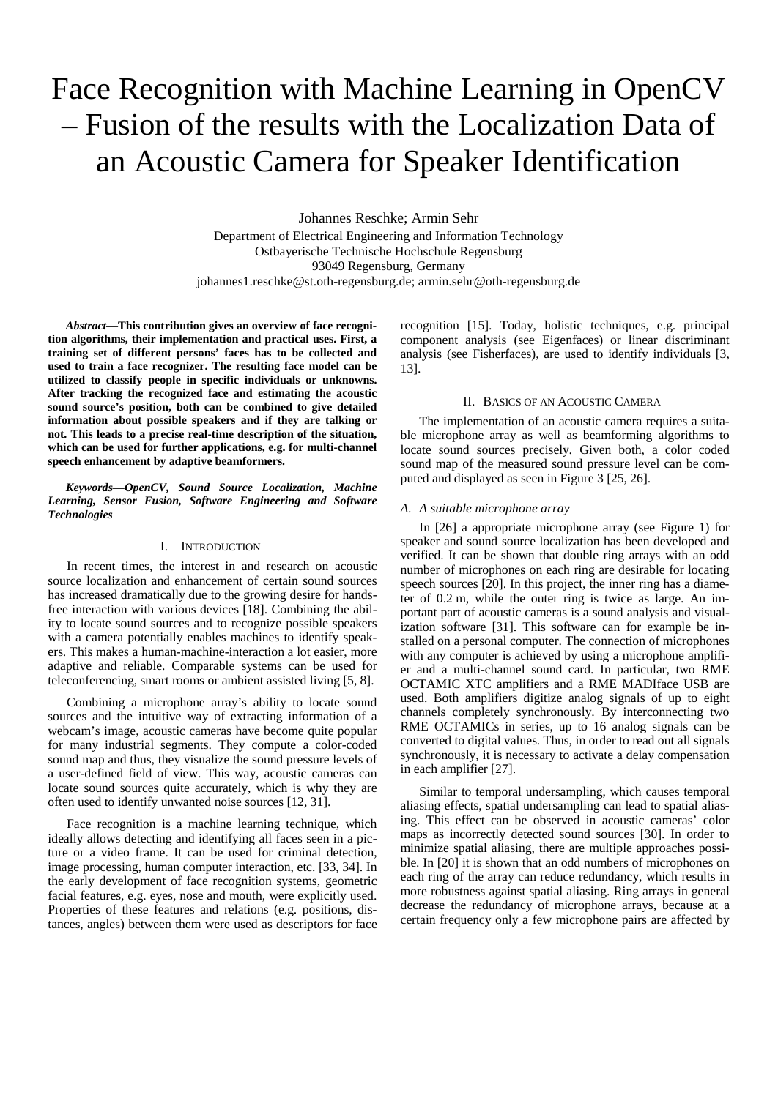# Face Recognition with Machine Learning in OpenCV – Fusion of the results with the Localization Data of an Acoustic Camera for Speaker Identification

Johannes Reschke; Armin Sehr Department of Electrical Engineering and Information Technology Ostbayerische Technische Hochschule Regensburg 93049 Regensburg, Germany johannes1.reschke@st.oth-regensburg.de; armin.sehr@oth-regensburg.de

*Abstract***—This contribution gives an overview of face recognition algorithms, their implementation and practical uses. First, a training set of different persons' faces has to be collected and used to train a face recognizer. The resulting face model can be utilized to classify people in specific individuals or unknowns. After tracking the recognized face and estimating the acoustic sound source's position, both can be combined to give detailed information about possible speakers and if they are talking or not. This leads to a precise real-time description of the situation, which can be used for further applications, e.g. for multi-channel speech enhancement by adaptive beamformers.**

*Keywords—OpenCV, Sound Source Localization, Machine Learning, Sensor Fusion, Software Engineering and Software Technologies*

## I. INTRODUCTION

In recent times, the interest in and research on acoustic source localization and enhancement of certain sound sources has increased dramatically due to the growing desire for handsfree interaction with various devices [18]. Combining the ability to locate sound sources and to recognize possible speakers with a camera potentially enables machines to identify speakers. This makes a human-machine-interaction a lot easier, more adaptive and reliable. Comparable systems can be used for teleconferencing, smart rooms or ambient assisted living [5, 8].

Combining a microphone array's ability to locate sound sources and the intuitive way of extracting information of a webcam's image, acoustic cameras have become quite popular for many industrial segments. They compute a color-coded sound map and thus, they visualize the sound pressure levels of a user-defined field of view. This way, acoustic cameras can locate sound sources quite accurately, which is why they are often used to identify unwanted noise sources [12, 31].

Face recognition is a machine learning technique, which ideally allows detecting and identifying all faces seen in a picture or a video frame. It can be used for criminal detection, image processing, human computer interaction, etc. [33, 34]. In the early development of face recognition systems, geometric facial features, e.g. eyes, nose and mouth, were explicitly used. Properties of these features and relations (e.g. positions, distances, angles) between them were used as descriptors for face recognition [15]. Today, holistic techniques, e.g. principal component analysis (see Eigenfaces) or linear discriminant analysis (see Fisherfaces), are used to identify individuals [3, 13].

#### II. BASICS OF AN ACOUSTIC CAMERA

The implementation of an acoustic camera requires a suitable microphone array as well as beamforming algorithms to locate sound sources precisely. Given both, a color coded sound map of the measured sound pressure level can be computed and displayed as seen in [Figure 3](#page-1-0) [25, 26].

#### *A. A suitable microphone array*

In [26] a appropriate microphone array (see [Figure 1\)](#page-1-1) for speaker and sound source localization has been developed and verified. It can be shown that double ring arrays with an odd number of microphones on each ring are desirable for locating speech sources [20]. In this project, the inner ring has a diameter of 0.2 m, while the outer ring is twice as large. An important part of acoustic cameras is a sound analysis and visualization software [31]. This software can for example be installed on a personal computer. The connection of microphones with any computer is achieved by using a microphone amplifier and a multi-channel sound card. In particular, two RME OCTAMIC XTC amplifiers and a RME MADIface USB are used. Both amplifiers digitize analog signals of up to eight channels completely synchronously. By interconnecting two RME OCTAMICs in series, up to 16 analog signals can be converted to digital values. Thus, in order to read out all signals synchronously, it is necessary to activate a delay compensation in each amplifier [27].

Similar to temporal undersampling, which causes temporal aliasing effects, spatial undersampling can lead to spatial aliasing. This effect can be observed in acoustic cameras' color maps as incorrectly detected sound sources [30]. In order to minimize spatial aliasing, there are multiple approaches possible. In [20] it is shown that an odd numbers of microphones on each ring of the array can reduce redundancy, which results in more robustness against spatial aliasing. Ring arrays in general decrease the redundancy of microphone arrays, because at a certain frequency only a few microphone pairs are affected by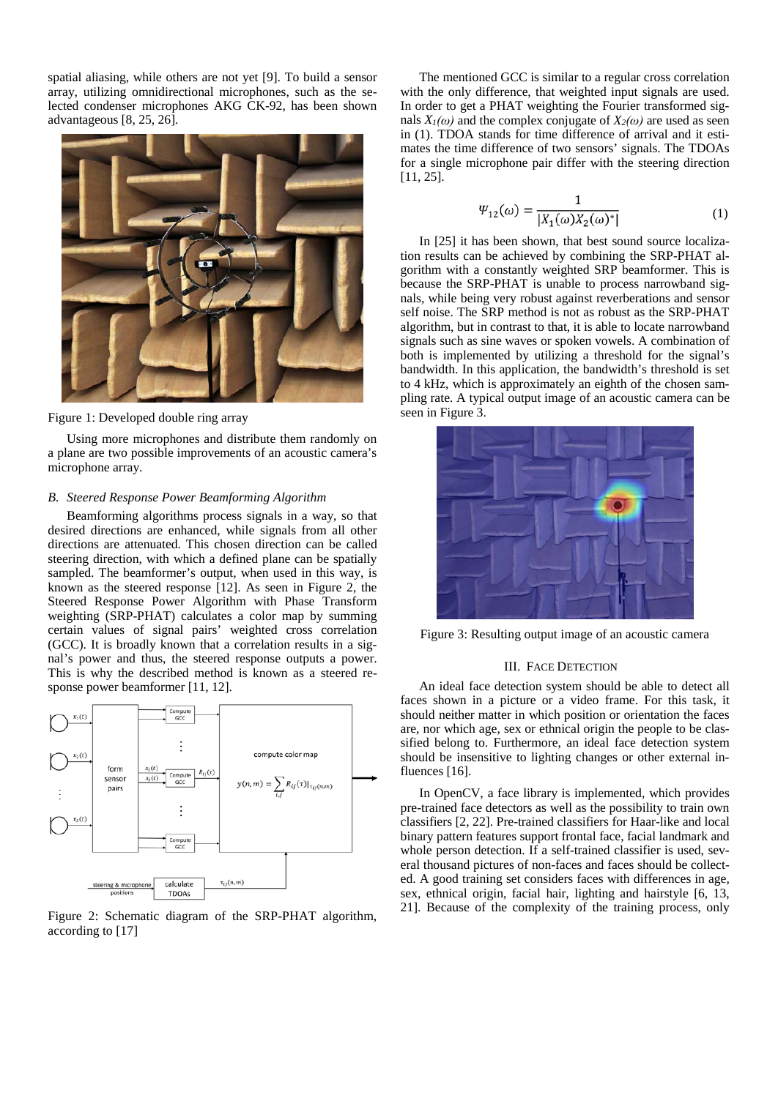spatial aliasing, while others are not yet [9]. To build a sensor array, utilizing omnidirectional microphones, such as the selected condenser microphones AKG CK-92, has been shown advantageous [8, 25, 26].



Figure 1: Developed double ring array

<span id="page-1-1"></span>Using more microphones and distribute them randomly on a plane are two possible improvements of an acoustic camera's microphone array.

## *B. Steered Response Power Beamforming Algorithm*

Beamforming algorithms process signals in a way, so that desired directions are enhanced, while signals from all other directions are attenuated. This chosen direction can be called steering direction, with which a defined plane can be spatially sampled. The beamformer's output, when used in this way, is known as the steered response [12]. As seen in [Figure 2,](#page-1-2) the Steered Response Power Algorithm with Phase Transform weighting (SRP-PHAT) calculates a color map by summing certain values of signal pairs' weighted cross correlation (GCC). It is broadly known that a correlation results in a signal's power and thus, the steered response outputs a power. This is why the described method is known as a steered response power beamformer [11, 12].



<span id="page-1-2"></span>Figure 2: Schematic diagram of the SRP-PHAT algorithm, according to [17]

The mentioned GCC is similar to a regular cross correlation with the only difference, that weighted input signals are used. In order to get a PHAT weighting the Fourier transformed signals  $X_l(\omega)$  and the complex conjugate of  $X_2(\omega)$  are used as seen in (1). TDOA stands for time difference of arrival and it estimates the time difference of two sensors' signals. The TDOAs for a single microphone pair differ with the steering direction [11, 25].

$$
\Psi_{12}(\omega) = \frac{1}{|X_1(\omega)X_2(\omega)^*|} \tag{1}
$$

In [25] it has been shown, that best sound source localization results can be achieved by combining the SRP-PHAT algorithm with a constantly weighted SRP beamformer. This is because the SRP-PHAT is unable to process narrowband signals, while being very robust against reverberations and sensor self noise. The SRP method is not as robust as the SRP-PHAT algorithm, but in contrast to that, it is able to locate narrowband signals such as sine waves or spoken vowels. A combination of both is implemented by utilizing a threshold for the signal's bandwidth. In this application, the bandwidth's threshold is set to 4 kHz, which is approximately an eighth of the chosen sampling rate. A typical output image of an acoustic camera can be seen in [Figure 3.](#page-1-0)



Figure 3: Resulting output image of an acoustic camera

## III. FACE DETECTION

<span id="page-1-0"></span>An ideal face detection system should be able to detect all faces shown in a picture or a video frame. For this task, it should neither matter in which position or orientation the faces are, nor which age, sex or ethnical origin the people to be classified belong to. Furthermore, an ideal face detection system should be insensitive to lighting changes or other external influences [16].

In OpenCV, a face library is implemented, which provides pre-trained face detectors as well as the possibility to train own classifiers [2, 22]. Pre-trained classifiers for Haar-like and local binary pattern features support frontal face, facial landmark and whole person detection. If a self-trained classifier is used, several thousand pictures of non-faces and faces should be collected. A good training set considers faces with differences in age, sex, ethnical origin, facial hair, lighting and hairstyle [6, 13, 21]. Because of the complexity of the training process, only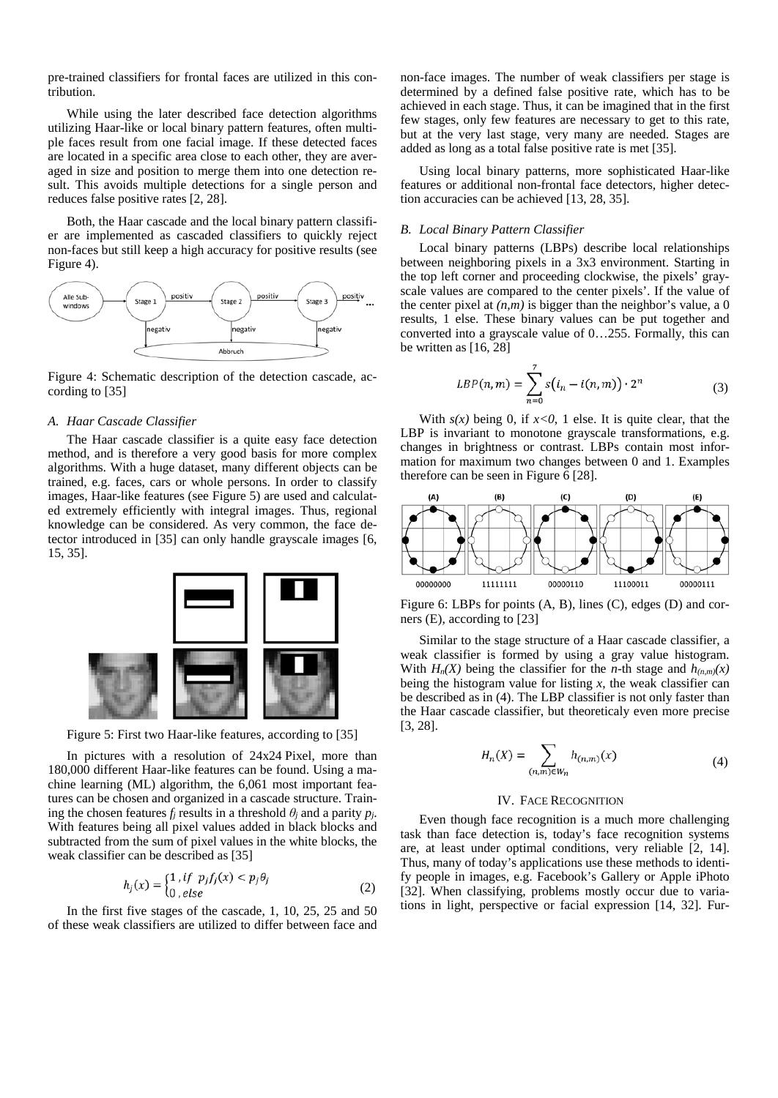pre-trained classifiers for frontal faces are utilized in this contribution.

While using the later described face detection algorithms utilizing Haar-like or local binary pattern features, often multiple faces result from one facial image. If these detected faces are located in a specific area close to each other, they are averaged in size and position to merge them into one detection result. This avoids multiple detections for a single person and reduces false positive rates [2, 28].

Both, the Haar cascade and the local binary pattern classifier are implemented as cascaded classifiers to quickly reject non-faces but still keep a high accuracy for positive results (see [Figure 4\)](#page-2-0).



<span id="page-2-0"></span>Figure 4: Schematic description of the detection cascade, according to [35]

### *A. Haar Cascade Classifier*

The Haar cascade classifier is a quite easy face detection method, and is therefore a very good basis for more complex algorithms. With a huge dataset, many different objects can be trained, e.g. faces, cars or whole persons. In order to classify images, Haar-like features (see [Figure 5\)](#page-2-1) are used and calculated extremely efficiently with integral images. Thus, regional knowledge can be considered. As very common, the face detector introduced in [35] can only handle grayscale images [6, 15, 35].



<span id="page-2-1"></span>Figure 5: First two Haar-like features, according to [35]

In pictures with a resolution of 24x24 Pixel, more than 180,000 different Haar-like features can be found. Using a machine learning (ML) algorithm, the 6,061 most important features can be chosen and organized in a cascade structure. Training the chosen features  $f_j$  results in a threshold  $\theta_j$  and a parity  $p_j$ . With features being all pixel values added in black blocks and subtracted from the sum of pixel values in the white blocks, the weak classifier can be described as [35]

$$
h_j(x) = \begin{cases} 1 & \text{if } p_j f_j(x) < p_j \theta_j \\ 0 & \text{else} \end{cases} \tag{2}
$$

In the first five stages of the cascade, 1, 10, 25, 25 and 50 of these weak classifiers are utilized to differ between face and

non-face images. The number of weak classifiers per stage is determined by a defined false positive rate, which has to be achieved in each stage. Thus, it can be imagined that in the first few stages, only few features are necessary to get to this rate, but at the very last stage, very many are needed. Stages are added as long as a total false positive rate is met [35].

Using local binary patterns, more sophisticated Haar-like features or additional non-frontal face detectors, higher detection accuracies can be achieved [13, 28, 35].

#### *B. Local Binary Pattern Classifier*

Local binary patterns (LBPs) describe local relationships between neighboring pixels in a 3x3 environment. Starting in the top left corner and proceeding clockwise, the pixels' grayscale values are compared to the center pixels'. If the value of the center pixel at  $(n,m)$  is bigger than the neighbor's value, a 0 results, 1 else. These binary values can be put together and converted into a grayscale value of 0…255. Formally, this can be written as [16, 28]

$$
LBP(n, m) = \sum_{n=0}^{7} s(i_n - i(n, m)) \cdot 2^n
$$
 (3)

With  $s(x)$  being 0, if  $x<0$ , 1 else. It is quite clear, that the LBP is invariant to monotone grayscale transformations, e.g. changes in brightness or contrast. LBPs contain most information for maximum two changes between 0 and 1. Examples therefore can be seen in [Figure 6](#page-2-2) [28].



<span id="page-2-2"></span>Figure 6: LBPs for points (A, B), lines (C), edges (D) and corners (E), according to [23]

Similar to the stage structure of a Haar cascade classifier, a weak classifier is formed by using a gray value histogram. With  $H_n(X)$  being the classifier for the *n*-th stage and  $h_{(n,m)}(x)$ being the histogram value for listing *x*, the weak classifier can be described as in (4). The LBP classifier is not only faster than the Haar cascade classifier, but theoreticaly even more precise [3, 28].

$$
H_n(X) = \sum_{(n,m)\in W_n} h_{(n,m)}(x)
$$
 (4)

#### IV. FACE RECOGNITION

Even though face recognition is a much more challenging task than face detection is, today's face recognition systems are, at least under optimal conditions, very reliable [2, 14]. Thus, many of today's applications use these methods to identify people in images, e.g. Facebook's Gallery or Apple iPhoto [32]. When classifying, problems mostly occur due to variations in light, perspective or facial expression [14, 32]. Fur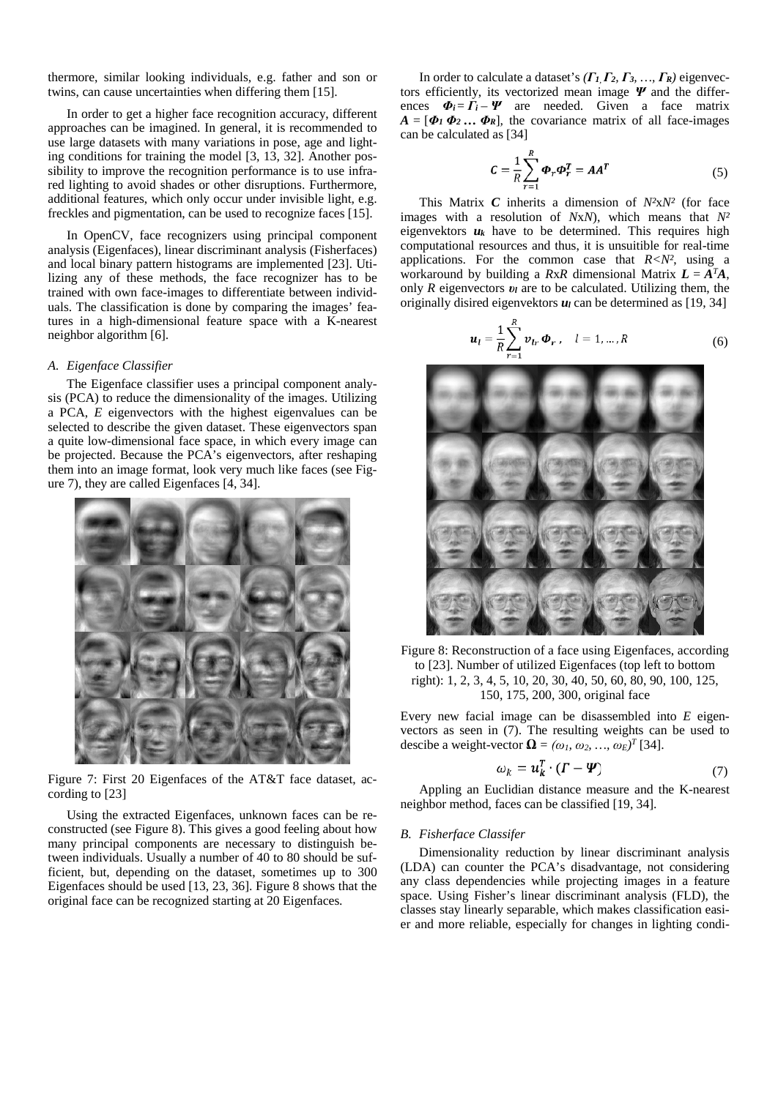thermore, similar looking individuals, e.g. father and son or twins, can cause uncertainties when differing them [15].

In order to get a higher face recognition accuracy, different approaches can be imagined. In general, it is recommended to use large datasets with many variations in pose, age and lighting conditions for training the model [3, 13, 32]. Another possibility to improve the recognition performance is to use infrared lighting to avoid shades or other disruptions. Furthermore, additional features, which only occur under invisible light, e.g. freckles and pigmentation, can be used to recognize faces [15].

In OpenCV, face recognizers using principal component analysis (Eigenfaces), linear discriminant analysis (Fisherfaces) and local binary pattern histograms are implemented [23]. Utilizing any of these methods, the face recognizer has to be trained with own face-images to differentiate between individuals. The classification is done by comparing the images' features in a high-dimensional feature space with a K-nearest neighbor algorithm [6].

### <span id="page-3-3"></span>*A. Eigenface Classifier*

The Eigenface classifier uses a principal component analysis (PCA) to reduce the dimensionality of the images. Utilizing a PCA, *E* eigenvectors with the highest eigenvalues can be selected to describe the given dataset. These eigenvectors span a quite low-dimensional face space, in which every image can be projected. Because the PCA's eigenvectors, after reshaping them into an image format, look very much like faces (see [Fig](#page-3-0)[ure 7\)](#page-3-0), they are called Eigenfaces [4, 34].



Figure 7: First 20 Eigenfaces of the AT&T face dataset, according to [23]

<span id="page-3-0"></span>Using the extracted Eigenfaces, unknown faces can be reconstructed (see [Figure 8\)](#page-3-1). This gives a good feeling about how many principal components are necessary to distinguish between individuals. Usually a number of 40 to 80 should be sufficient, but, depending on the dataset, sometimes up to 300 Eigenfaces should be used [13, 23, 36]. [Figure 8](#page-3-1) shows that the original face can be recognized starting at 20 Eigenfaces.

In order to calculate a dataset's *(Γ<sup>1</sup>, Γ2, Γ3, …, ΓR)* eigenvectors efficiently, its vectorized mean image *Ψ* and the differences  $\Phi_i = \Gamma_i - \Psi$  are needed. Given a face matrix  $A = [\Phi_1 \Phi_2 \dots \Phi_R]$ , the covariance matrix of all face-images can be calculated as [34]

$$
C = \frac{1}{R} \sum_{r=1}^{R} \boldsymbol{\Phi}_r \boldsymbol{\Phi}_r^T = A A^T
$$
 (5)

This Matrix *C* inherits a dimension of *N²*x*N²* (for face images with a resolution of *N*x*N*), which means that *N²*  eigenvektors  $u_k$  have to be determined. This requires high computational resources and thus, it is unsuitible for real-time applications. For the common case that  $R < N^2$ , using a workaround by building a *RxR* dimensional Matrix  $L = A<sup>T</sup>A$ , only *R* eigenvectors *υ<sup>l</sup>* are to be calculated. Utilizing them, the originally disired eigenvektors  $u_l$  can be determined as [19, 34]

$$
u_{l} = \frac{1}{R} \sum_{r=1}^{R} v_{lr} \Phi_{r}, \quad l = 1, ..., R
$$
 (6)



Figure 8: Reconstruction of a face using Eigenfaces, according to [23]. Number of utilized Eigenfaces (top left to bottom right): 1, 2, 3, 4, 5, 10, 20, 30, 40, 50, 60, 80, 90, 100, 125, 150, 175, 200, 300, original face

<span id="page-3-1"></span>Every new facial image can be disassembled into *E* eigenvectors as seen in (7). The resulting weights can be used to descibe a weight-vector  $\mathbf{\Omega} = (\omega_1, \omega_2, ..., \omega_E)^T$  [34].

$$
\omega_k = \boldsymbol{u}_k^I \cdot (\boldsymbol{\Gamma} - \boldsymbol{\varPsi}) \tag{7}
$$

Appling an Euclidian distance measure and the K-nearest neighbor method, faces can be classified [19, 34].

#### <span id="page-3-2"></span>*B. Fisherface Classifer*

Dimensionality reduction by linear discriminant analysis (LDA) can counter the PCA's disadvantage, not considering any class dependencies while projecting images in a feature space. Using Fisher's linear discriminant analysis (FLD), the classes stay linearly separable, which makes classification easier and more reliable, especially for changes in lighting condi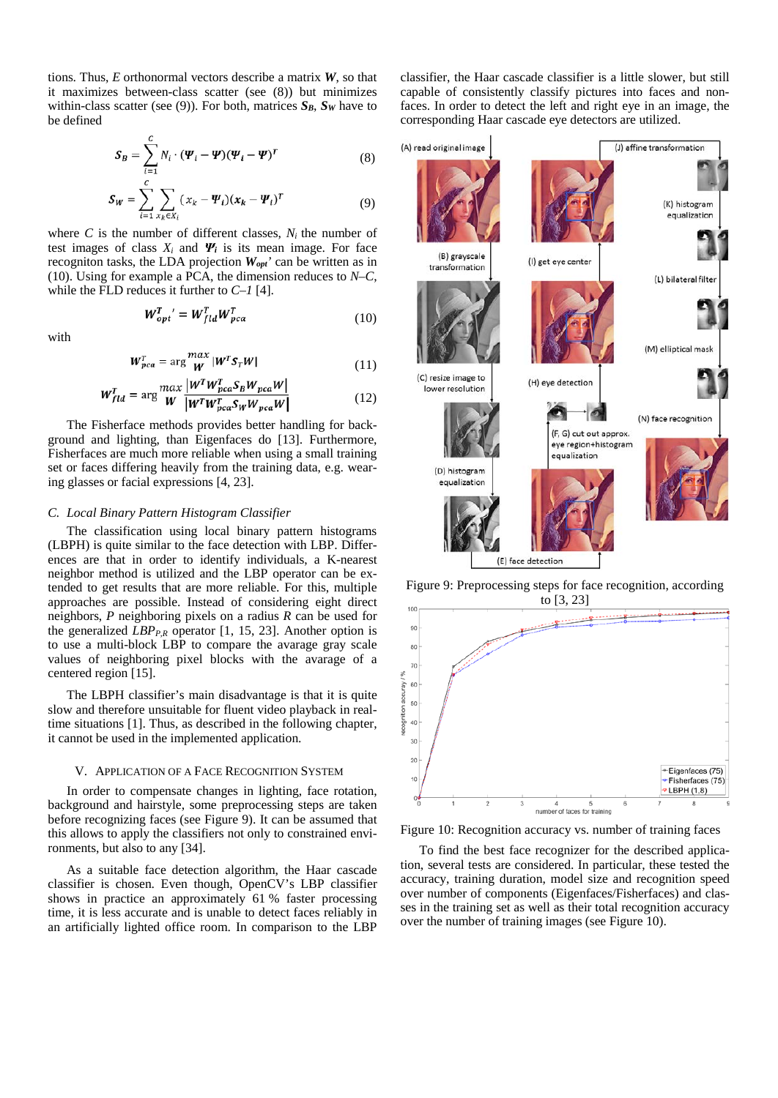tions. Thus, *E* orthonormal vectors describe a matrix *W*, so that it maximizes between-class scatter (see (8)) but minimizes within-class scatter (see (9)). For both, matrices  $S_B$ ,  $S_W$  have to be defined

$$
\mathbf{S}_{B} = \sum_{i=1}^{C} N_{i} \cdot (\boldsymbol{\varPsi}_{t} - \boldsymbol{\varPsi}) (\boldsymbol{\varPsi}_{t} - \boldsymbol{\varPsi})^{T}
$$
(8)

$$
\mathbf{S_W} = \sum_{i=1}^{C} \sum_{\mathbf{x}_k \in \mathbf{X}_i} (\mathbf{x}_k - \mathbf{\Psi}_i)(\mathbf{x}_k - \mathbf{\Psi}_i)^T
$$
(9)

where  $C$  is the number of different classes,  $N_i$  the number of test images of class  $X_i$  and  $\boldsymbol{\varPsi}_i$  is its mean image. For face recogniton tasks, the LDA projection *Wopt'* can be written as in (10). Using for example a PCA, the dimension reduces to *N–C*, while the FLD reduces it further to *C–1* [4].

$$
W_{opt}^T = W_{fld}^T W_{pca}^T
$$
 (10)

with

$$
W_{pca}^T = \arg\frac{max}{W} |W^T S_T W|
$$
 (11)

$$
W_{fld}^T = \arg \frac{max}{W} \frac{|W^T W_{pca}^T S_B W_{pca} W|}{|W^T W_{pca}^T S_W W_{pca} W|}
$$
(12)

The Fisherface methods provides better handling for background and lighting, than Eigenfaces do [13]. Furthermore, Fisherfaces are much more reliable when using a small training set or faces differing heavily from the training data, e.g. wearing glasses or facial expressions [4, 23].

## *C. Local Binary Pattern Histogram Classifier*

The classification using local binary pattern histograms (LBPH) is quite similar to the face detection with LBP. Differences are that in order to identify individuals, a K-nearest neighbor method is utilized and the LBP operator can be extended to get results that are more reliable. For this, multiple approaches are possible. Instead of considering eight direct neighbors, *P* neighboring pixels on a radius *R* can be used for the generalized  $LBP_{P,R}$  operator [1, 15, 23]. Another option is to use a multi-block LBP to compare the avarage gray scale values of neighboring pixel blocks with the avarage of a centered region [15].

The LBPH classifier's main disadvantage is that it is quite slow and therefore unsuitable for fluent video playback in realtime situations [1]. Thus, as described in the following chapter, it cannot be used in the implemented application.

#### V. APPLICATION OF A FACE RECOGNITION SYSTEM

In order to compensate changes in lighting, face rotation, background and hairstyle, some preprocessing steps are taken before recognizing faces (see [Figure 9\)](#page-4-0). It can be assumed that this allows to apply the classifiers not only to constrained environments, but also to any [34].

As a suitable face detection algorithm, the Haar cascade classifier is chosen. Even though, OpenCV's LBP classifier shows in practice an approximately 61 % faster processing time, it is less accurate and is unable to detect faces reliably in an artificially lighted office room. In comparison to the LBP

classifier, the Haar cascade classifier is a little slower, but still capable of consistently classify pictures into faces and nonfaces. In order to detect the left and right eye in an image, the corresponding Haar cascade eye detectors are utilized.



<span id="page-4-0"></span>Figure 9: Preprocessing steps for face recognition, according to [3, 23]



<span id="page-4-1"></span>Figure 10: Recognition accuracy vs. number of training faces

To find the best face recognizer for the described application, several tests are considered. In particular, these tested the accuracy, training duration, model size and recognition speed over number of components (Eigenfaces/Fisherfaces) and classes in the training set as well as their total recognition accuracy over the number of training images (se[e Figure 10\)](#page-4-1).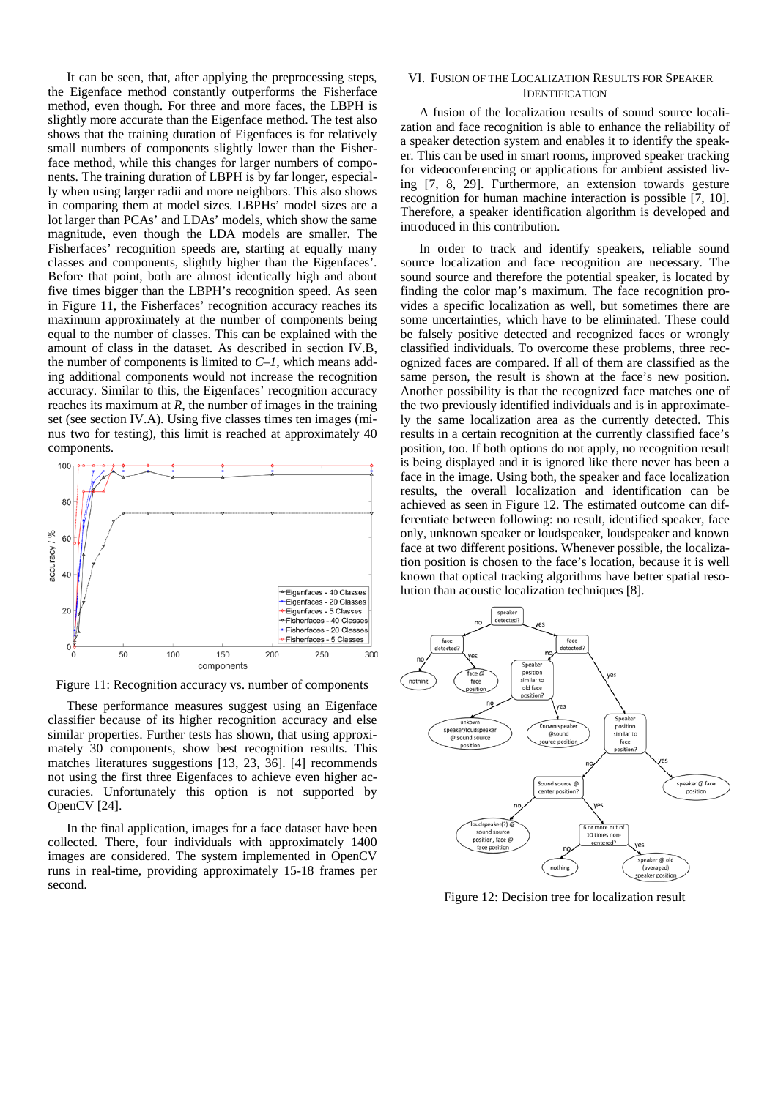It can be seen, that, after applying the preprocessing steps, the Eigenface method constantly outperforms the Fisherface method, even though. For three and more faces, the LBPH is slightly more accurate than the Eigenface method. The test also shows that the training duration of Eigenfaces is for relatively small numbers of components slightly lower than the Fisherface method, while this changes for larger numbers of components. The training duration of LBPH is by far longer, especially when using larger radii and more neighbors. This also shows in comparing them at model sizes. LBPHs' model sizes are a lot larger than PCAs' and LDAs' models, which show the same magnitude, even though the LDA models are smaller. The Fisherfaces' recognition speeds are, starting at equally many classes and components, slightly higher than the Eigenfaces'. Before that point, both are almost identically high and about five times bigger than the LBPH's recognition speed. As seen in [Figure 11,](#page-5-0) the Fisherfaces' recognition accuracy reaches its maximum approximately at the number of components being equal to the number of classes. This can be explained with the amount of class in the dataset. As described in section [IV.B,](#page-3-2) the number of components is limited to *C–1*, which means adding additional components would not increase the recognition accuracy. Similar to this, the Eigenfaces' recognition accuracy reaches its maximum at *R*, the number of images in the training set (see sectio[n IV.A\)](#page-3-3). Using five classes times ten images (minus two for testing), this limit is reached at approximately 40 components.



<span id="page-5-0"></span>Figure 11: Recognition accuracy vs. number of components

These performance measures suggest using an Eigenface classifier because of its higher recognition accuracy and else similar properties. Further tests has shown, that using approximately 30 components, show best recognition results. This matches literatures suggestions [13, 23, 36]. [4] recommends not using the first three Eigenfaces to achieve even higher accuracies. Unfortunately this option is not supported by OpenCV [24].

In the final application, images for a face dataset have been collected. There, four individuals with approximately 1400 images are considered. The system implemented in OpenCV runs in real-time, providing approximately 15-18 frames per second.

## VI. FUSION OF THE LOCALIZATION RESULTS FOR SPEAKER **IDENTIFICATION**

A fusion of the localization results of sound source localization and face recognition is able to enhance the reliability of a speaker detection system and enables it to identify the speaker. This can be used in smart rooms, improved speaker tracking for videoconferencing or applications for ambient assisted living [7, 8, 29]. Furthermore, an extension towards gesture recognition for human machine interaction is possible [7, 10]. Therefore, a speaker identification algorithm is developed and introduced in this contribution.

In order to track and identify speakers, reliable sound source localization and face recognition are necessary. The sound source and therefore the potential speaker, is located by finding the color map's maximum. The face recognition provides a specific localization as well, but sometimes there are some uncertainties, which have to be eliminated. These could be falsely positive detected and recognized faces or wrongly classified individuals. To overcome these problems, three recognized faces are compared. If all of them are classified as the same person, the result is shown at the face's new position. Another possibility is that the recognized face matches one of the two previously identified individuals and is in approximately the same localization area as the currently detected. This results in a certain recognition at the currently classified face's position, too. If both options do not apply, no recognition result is being displayed and it is ignored like there never has been a face in the image. Using both, the speaker and face localization results, the overall localization and identification can be achieved as seen in [Figure 12.](#page-5-1) The estimated outcome can differentiate between following: no result, identified speaker, face only, unknown speaker or loudspeaker, loudspeaker and known face at two different positions. Whenever possible, the localization position is chosen to the face's location, because it is well known that optical tracking algorithms have better spatial resolution than acoustic localization techniques [8].



<span id="page-5-1"></span>Figure 12: Decision tree for localization result